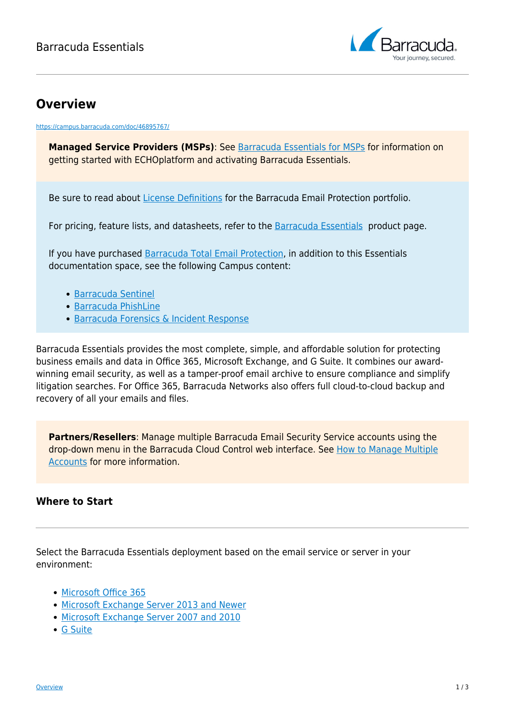

## **Overview**

<https://campus.barracuda.com/doc/46895767/>

**Managed Service Providers (MSPs)**: See [Barracuda Essentials for MSPs](http://campus.barracuda.com/doc/71238448/) for information on getting started with ECHOplatform and activating Barracuda Essentials.

Be sure to read about [License Definitions](http://campus.barracuda.com/doc/89621272/) for the Barracuda Email Protection portfolio.

For pricing, feature lists, and datasheets, refer to the **Barracuda Essentials** product page.

If you have purchased [Barracuda Total Email Protection](https://www.barracuda.com/totalemailprotection), in addition to this Essentials documentation space, see the following Campus content:

- [Barracuda Sentinel](http://campus.barracuda.com/doc/71238006/)
- [Barracuda PhishLine](http://campus.barracuda.com/doc/76284253/)
- [Barracuda Forensics & Incident Response](http://campus.barracuda.com/doc/79463558/)

Barracuda Essentials provides the most complete, simple, and affordable solution for protecting business emails and data in Office 365, Microsoft Exchange, and G Suite. It combines our awardwinning email security, as well as a tamper-proof email archive to ensure compliance and simplify litigation searches. For Office 365, Barracuda Networks also offers full cloud-to-cloud backup and recovery of all your emails and files.

**Partners/Resellers**: Manage multiple Barracuda Email Security Service accounts using the drop-down menu in the Barracuda Cloud Control web interface. See [How to Manage Multiple](http://campus.barracuda.com/doc/69960207/) [Accounts](http://campus.barracuda.com/doc/69960207/) for more information.

## **Where to Start**

Select the Barracuda Essentials deployment based on the email service or server in your environment:

- [Microsoft Office 365](http://campus.barracuda.com/doc/75694367/)
- [Microsoft Exchange Server 2013 and Newer](http://campus.barracuda.com/doc/74550025/)
- [Microsoft Exchange Server 2007 and 2010](http://campus.barracuda.com/doc/74550063/)
- [G Suite](http://campus.barracuda.com/doc/74549990/)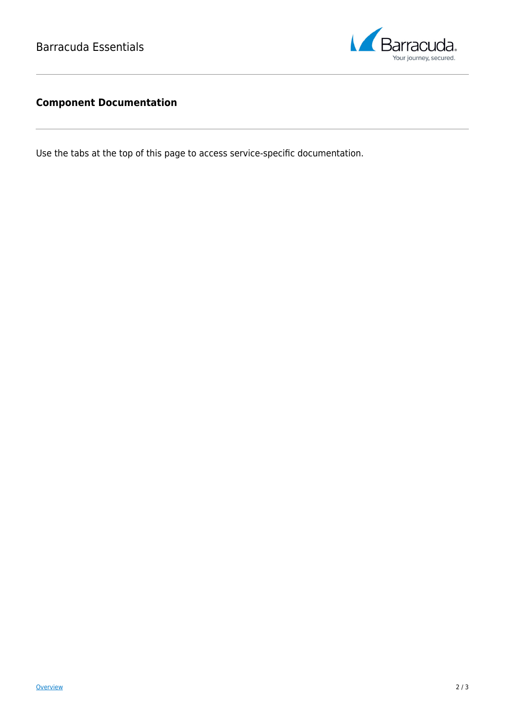

## **Component Documentation**

Use the tabs at the top of this page to access service-specific documentation.